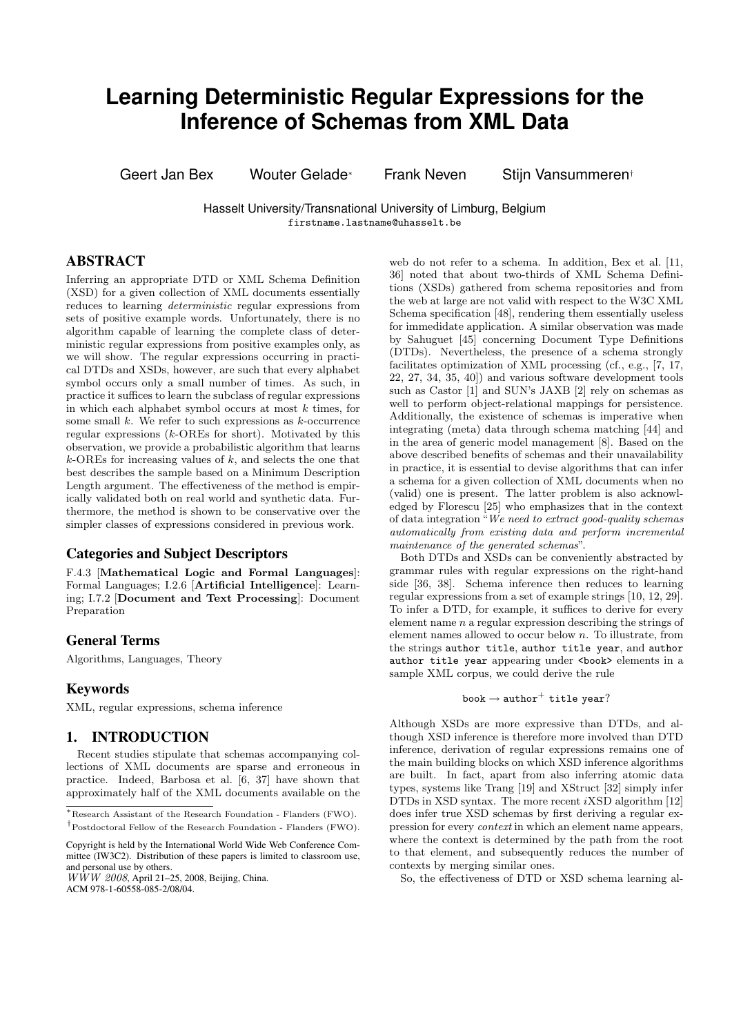# **Learning Deterministic Regular Expressions for the Inference of Schemas from XML Data**

Geert Jan Bex Wouter Gelade<sup>∗</sup> Frank Neven Stijn Vansummeren†

Hasselt University/Transnational University of Limburg, Belgium firstname.lastname@uhasselt.be

# ABSTRACT

Inferring an appropriate DTD or XML Schema Definition (XSD) for a given collection of XML documents essentially reduces to learning deterministic regular expressions from sets of positive example words. Unfortunately, there is no algorithm capable of learning the complete class of deterministic regular expressions from positive examples only, as we will show. The regular expressions occurring in practical DTDs and XSDs, however, are such that every alphabet symbol occurs only a small number of times. As such, in practice it suffices to learn the subclass of regular expressions in which each alphabet symbol occurs at most  $k$  times, for some small  $k$ . We refer to such expressions as  $k$ -occurrence regular expressions  $(k$ -OREs for short). Motivated by this observation, we provide a probabilistic algorithm that learns  $k$ -OREs for increasing values of  $k$ , and selects the one that best describes the sample based on a Minimum Description Length argument. The effectiveness of the method is empirically validated both on real world and synthetic data. Furthermore, the method is shown to be conservative over the simpler classes of expressions considered in previous work.

## Categories and Subject Descriptors

F.4.3 [Mathematical Logic and Formal Languages]: Formal Languages; I.2.6 [Artificial Intelligence]: Learning; I.7.2 [Document and Text Processing]: Document Preparation

# General Terms

Algorithms, Languages, Theory

## Keywords

XML, regular expressions, schema inference

## 1. INTRODUCTION

Recent studies stipulate that schemas accompanying collections of XML documents are sparse and erroneous in practice. Indeed, Barbosa et al. [6, 37] have shown that approximately half of the XML documents available on the

ACM 978-1-60558-085-2/08/04.

web do not refer to a schema. In addition, Bex et al. [11, 36] noted that about two-thirds of XML Schema Definitions (XSDs) gathered from schema repositories and from the web at large are not valid with respect to the W3C XML Schema specification [48], rendering them essentially useless for immedidate application. A similar observation was made by Sahuguet [45] concerning Document Type Definitions (DTDs). Nevertheless, the presence of a schema strongly facilitates optimization of XML processing (cf., e.g., [7, 17, 22, 27, 34, 35, 40]) and various software development tools such as Castor [1] and SUN's JAXB [2] rely on schemas as well to perform object-relational mappings for persistence. Additionally, the existence of schemas is imperative when integrating (meta) data through schema matching [44] and in the area of generic model management [8]. Based on the above described benefits of schemas and their unavailability in practice, it is essential to devise algorithms that can infer a schema for a given collection of XML documents when no (valid) one is present. The latter problem is also acknowledged by Florescu [25] who emphasizes that in the context of data integration "We need to extract good-quality schemas automatically from existing data and perform incremental maintenance of the generated schemas".

Both DTDs and XSDs can be conveniently abstracted by grammar rules with regular expressions on the right-hand side [36, 38]. Schema inference then reduces to learning regular expressions from a set of example strings [10, 12, 29]. To infer a DTD, for example, it suffices to derive for every element name  $n$  a regular expression describing the strings of element names allowed to occur below n. To illustrate, from the strings author title, author title year, and author author title year appearing under <br/>book> elements in a sample XML corpus, we could derive the rule

```
\mathtt{book} \rightarrow \mathtt{author}^+ title year?
```
Although XSDs are more expressive than DTDs, and although XSD inference is therefore more involved than DTD inference, derivation of regular expressions remains one of the main building blocks on which XSD inference algorithms are built. In fact, apart from also inferring atomic data types, systems like Trang [19] and XStruct [32] simply infer DTDs in XSD syntax. The more recent  $i$ XSD algorithm [12] does infer true XSD schemas by first deriving a regular expression for every context in which an element name appears, where the context is determined by the path from the root to that element, and subsequently reduces the number of contexts by merging similar ones.

So, the effectiveness of DTD or XSD schema learning al-

<sup>∗</sup>Research Assistant of the Research Foundation - Flanders (FWO). †Postdoctoral Fellow of the Research Foundation - Flanders (FWO).

Copyright is held by the International World Wide Web Conference Committee (IW3C2). Distribution of these papers is limited to classroom use, and personal use by others.

 $W\dot{W}W$  2008, April 21–25, 2008, Beijing, China.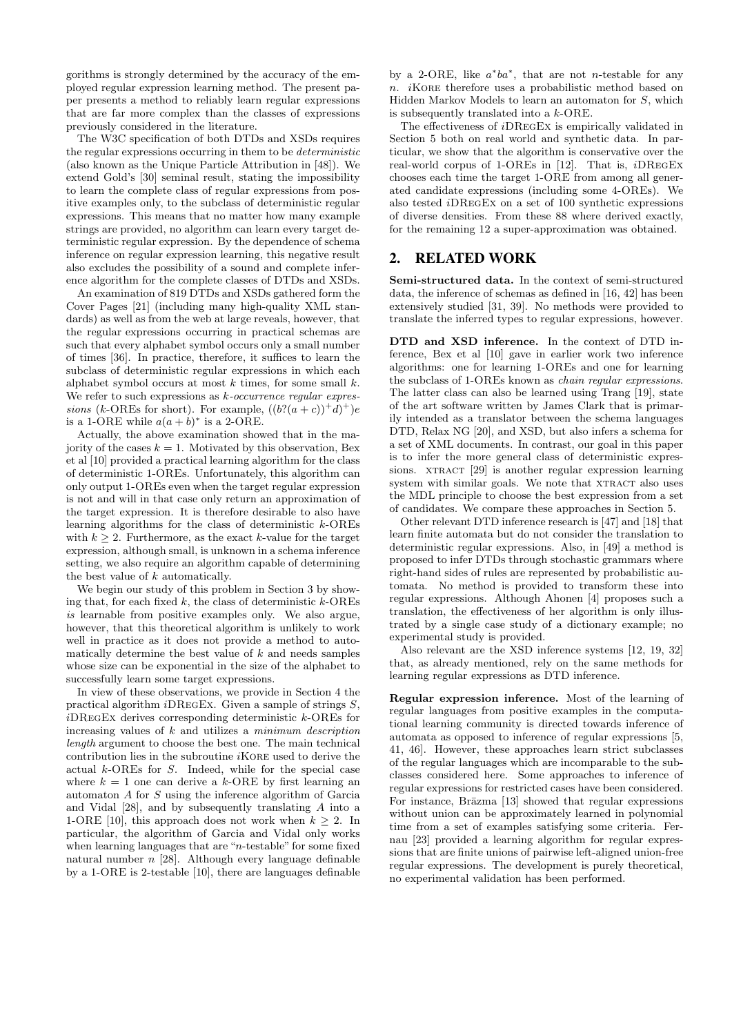gorithms is strongly determined by the accuracy of the employed regular expression learning method. The present paper presents a method to reliably learn regular expressions that are far more complex than the classes of expressions previously considered in the literature.

The W3C specification of both DTDs and XSDs requires the regular expressions occurring in them to be deterministic (also known as the Unique Particle Attribution in [48]). We extend Gold's [30] seminal result, stating the impossibility to learn the complete class of regular expressions from positive examples only, to the subclass of deterministic regular expressions. This means that no matter how many example strings are provided, no algorithm can learn every target deterministic regular expression. By the dependence of schema inference on regular expression learning, this negative result also excludes the possibility of a sound and complete inference algorithm for the complete classes of DTDs and XSDs.

An examination of 819 DTDs and XSDs gathered form the Cover Pages [21] (including many high-quality XML standards) as well as from the web at large reveals, however, that the regular expressions occurring in practical schemas are such that every alphabet symbol occurs only a small number of times [36]. In practice, therefore, it suffices to learn the subclass of deterministic regular expressions in which each alphabet symbol occurs at most  $k$  times, for some small  $k$ . We refer to such expressions as  $k$ -occurrence regular expressions (k-OREs for short). For example,  $((b?((a + c))^+ d)^+)e$ is a 1-ORE while  $a(a + b)^*$  is a 2-ORE.

Actually, the above examination showed that in the majority of the cases  $k = 1$ . Motivated by this observation, Bex et al [10] provided a practical learning algorithm for the class of deterministic 1-OREs. Unfortunately, this algorithm can only output 1-OREs even when the target regular expression is not and will in that case only return an approximation of the target expression. It is therefore desirable to also have learning algorithms for the class of deterministic k-OREs with  $k > 2$ . Furthermore, as the exact k-value for the target expression, although small, is unknown in a schema inference setting, we also require an algorithm capable of determining the best value of k automatically.

We begin our study of this problem in Section 3 by showing that, for each fixed  $k$ , the class of deterministic  $k$ -OREs is learnable from positive examples only. We also argue, however, that this theoretical algorithm is unlikely to work well in practice as it does not provide a method to automatically determine the best value of  $k$  and needs samples whose size can be exponential in the size of the alphabet to successfully learn some target expressions.

In view of these observations, we provide in Section 4 the practical algorithm  $i$ DREGEX. Given a sample of strings  $S$ ,  $i$ DREGEX derives corresponding deterministic  $k$ -OREs for increasing values of  $k$  and utilizes a *minimum description* length argument to choose the best one. The main technical contribution lies in the subroutine  $i$ KORE used to derive the actual k-OREs for S. Indeed, while for the special case where  $k = 1$  one can derive a k-ORE by first learning an automaton A for S using the inference algorithm of Garcia and Vidal [28], and by subsequently translating A into a 1-ORE [10], this approach does not work when  $k > 2$ . In particular, the algorithm of Garcia and Vidal only works when learning languages that are "n-testable" for some fixed natural number  $n$  [28]. Although every language definable by a 1-ORE is 2-testable [10], there are languages definable

by a 2-ORE, like  $a^*ba^*$ , that are not *n*-testable for any n. *i*KORE therefore uses a probabilistic method based on Hidden Markov Models to learn an automaton for S, which is subsequently translated into a k-ORE.

The effectiveness of iDRegEx is empirically validated in Section 5 both on real world and synthetic data. In particular, we show that the algorithm is conservative over the real-world corpus of 1-OREs in [12]. That is, iDRegEx chooses each time the target 1-ORE from among all generated candidate expressions (including some 4-OREs). We also tested iDRegEx on a set of 100 synthetic expressions of diverse densities. From these 88 where derived exactly, for the remaining 12 a super-approximation was obtained.

# 2. RELATED WORK

Semi-structured data. In the context of semi-structured data, the inference of schemas as defined in [16, 42] has been extensively studied [31, 39]. No methods were provided to translate the inferred types to regular expressions, however.

DTD and XSD inference. In the context of DTD inference, Bex et al [10] gave in earlier work two inference algorithms: one for learning 1-OREs and one for learning the subclass of 1-OREs known as chain regular expressions. The latter class can also be learned using Trang [19], state of the art software written by James Clark that is primarily intended as a translator between the schema languages DTD, Relax NG [20], and XSD, but also infers a schema for a set of XML documents. In contrast, our goal in this paper is to infer the more general class of deterministic expressions. XTRACT [29] is another regular expression learning system with similar goals. We note that XTRACT also uses the MDL principle to choose the best expression from a set of candidates. We compare these approaches in Section 5.

Other relevant DTD inference research is [47] and [18] that learn finite automata but do not consider the translation to deterministic regular expressions. Also, in [49] a method is proposed to infer DTDs through stochastic grammars where right-hand sides of rules are represented by probabilistic automata. No method is provided to transform these into regular expressions. Although Ahonen [4] proposes such a translation, the effectiveness of her algorithm is only illustrated by a single case study of a dictionary example; no experimental study is provided.

Also relevant are the XSD inference systems [12, 19, 32] that, as already mentioned, rely on the same methods for learning regular expressions as DTD inference.

Regular expression inference. Most of the learning of regular languages from positive examples in the computational learning community is directed towards inference of automata as opposed to inference of regular expressions [5, 41, 46]. However, these approaches learn strict subclasses of the regular languages which are incomparable to the subclasses considered here. Some approaches to inference of regular expressions for restricted cases have been considered. For instance, Brāzma [13] showed that regular expressions without union can be approximately learned in polynomial time from a set of examples satisfying some criteria. Fernau [23] provided a learning algorithm for regular expressions that are finite unions of pairwise left-aligned union-free regular expressions. The development is purely theoretical, no experimental validation has been performed.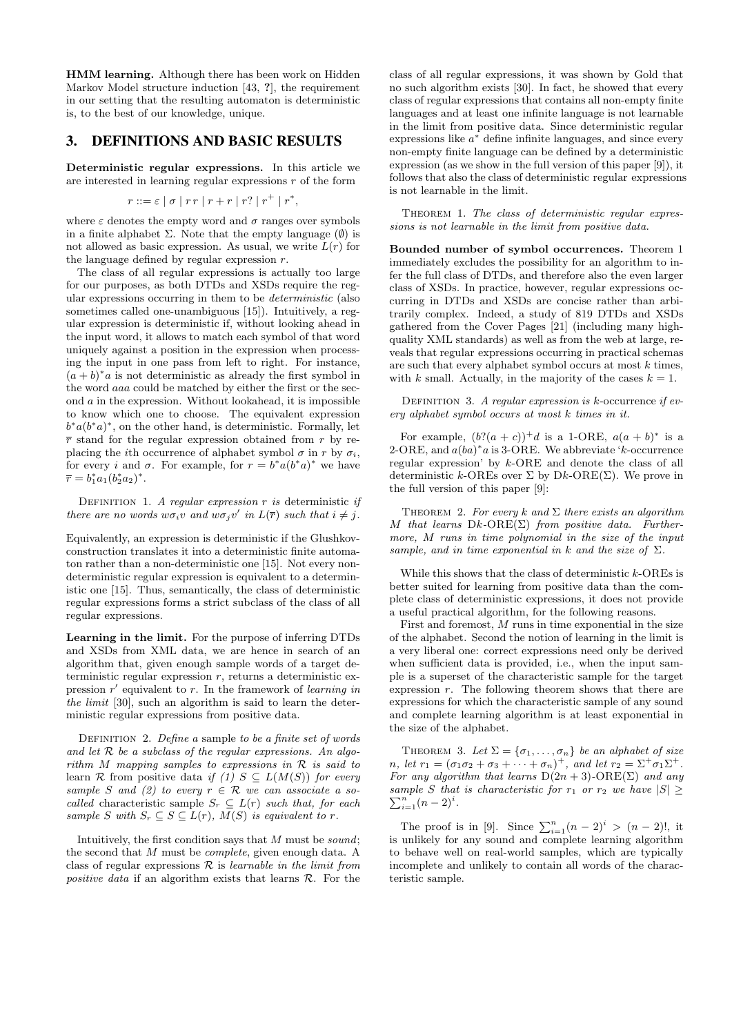HMM learning. Although there has been work on Hidden Markov Model structure induction [43, ?], the requirement in our setting that the resulting automaton is deterministic is, to the best of our knowledge, unique.

# 3. DEFINITIONS AND BASIC RESULTS

Deterministic regular expressions. In this article we are interested in learning regular expressions  $r$  of the form

$$
r ::= \varepsilon \mid \sigma \mid rr \mid r + r \mid r? \mid r^+ \mid r^*,
$$

where  $\varepsilon$  denotes the empty word and  $\sigma$  ranges over symbols in a finite alphabet  $\Sigma$ . Note that the empty language  $(\emptyset)$  is not allowed as basic expression. As usual, we write  $L(r)$  for the language defined by regular expression  $r$ .

The class of all regular expressions is actually too large for our purposes, as both DTDs and XSDs require the regular expressions occurring in them to be deterministic (also sometimes called one-unambiguous [15]). Intuitively, a regular expression is deterministic if, without looking ahead in the input word, it allows to match each symbol of that word uniquely against a position in the expression when processing the input in one pass from left to right. For instance,  $(a + b)^* a$  is not deterministic as already the first symbol in the word aaa could be matched by either the first or the second a in the expression. Without lookahead, it is impossible to know which one to choose. The equivalent expression  $b^*a(b^*a)^*$ , on the other hand, is deterministic. Formally, let  $\bar{r}$  stand for the regular expression obtained from r by replacing the *i*th occurrence of alphabet symbol  $\sigma$  in r by  $\sigma_i$ , for every *i* and  $\sigma$ . For example, for  $r = b^* a (b^* a)^*$  we have  $\bar{r} = b_1^* a_1 (b_2^* a_2)^*.$ 

DEFINITION 1. A regular expression  $r$  is deterministic if there are no words  $w\sigma_i v$  and  $w\sigma_j v'$  in  $L(\overline{r})$  such that  $i \neq j$ .

Equivalently, an expression is deterministic if the Glushkovconstruction translates it into a deterministic finite automaton rather than a non-deterministic one [15]. Not every nondeterministic regular expression is equivalent to a deterministic one [15]. Thus, semantically, the class of deterministic regular expressions forms a strict subclass of the class of all regular expressions.

Learning in the limit. For the purpose of inferring DTDs and XSDs from XML data, we are hence in search of an algorithm that, given enough sample words of a target deterministic regular expression  $r$ , returns a deterministic expression  $r'$  equivalent to  $r$ . In the framework of learning in the limit [30], such an algorithm is said to learn the deterministic regular expressions from positive data.

DEFINITION 2. Define a sample to be a finite set of words and let  $R$  be a subclass of the regular expressions. An algorithm  $M$  mapping samples to expressions in  $R$  is said to learn R from positive data if (1)  $S \subseteq L(M(S))$  for every sample S and (2) to every  $r \in \mathcal{R}$  we can associate a socalled characteristic sample  $S_r \subset L(r)$  such that, for each sample S with  $S_r \subset S \subset L(r)$ ,  $M(S)$  is equivalent to r.

Intuitively, the first condition says that  $M$  must be *sound*; the second that M must be complete, given enough data. A class of regular expressions  $R$  is learnable in the limit from positive data if an algorithm exists that learns  $\mathcal{R}$ . For the

class of all regular expressions, it was shown by Gold that no such algorithm exists [30]. In fact, he showed that every class of regular expressions that contains all non-empty finite languages and at least one infinite language is not learnable in the limit from positive data. Since deterministic regular expressions like  $a^*$  define infinite languages, and since every non-empty finite language can be defined by a deterministic expression (as we show in the full version of this paper [9]), it follows that also the class of deterministic regular expressions is not learnable in the limit.

THEOREM 1. The class of deterministic regular expressions is not learnable in the limit from positive data.

Bounded number of symbol occurrences. Theorem 1 immediately excludes the possibility for an algorithm to infer the full class of DTDs, and therefore also the even larger class of XSDs. In practice, however, regular expressions occurring in DTDs and XSDs are concise rather than arbitrarily complex. Indeed, a study of 819 DTDs and XSDs gathered from the Cover Pages [21] (including many highquality XML standards) as well as from the web at large, reveals that regular expressions occurring in practical schemas are such that every alphabet symbol occurs at most  $k$  times, with k small. Actually, in the majority of the cases  $k = 1$ .

DEFINITION 3. A regular expression is  $k$ -occurrence if every alphabet symbol occurs at most k times in it.

For example,  $(b?((a + c))^+d$  is a 1-ORE,  $a(a + b)^*$  is a 2-ORE, and  $a(ba)^*a$  is 3-ORE. We abbreviate 'k-occurrence regular expression' by k-ORE and denote the class of all deterministic k-OREs over  $\Sigma$  by Dk-ORE( $\Sigma$ ). We prove in the full version of this paper [9]:

THEOREM 2. For every k and  $\Sigma$  there exists an algorithm M that learns  $Dk\text{-}ORE(\Sigma)$  from positive data. Furthermore, M runs in time polynomial in the size of the input sample, and in time exponential in k and the size of  $\Sigma$ .

While this shows that the class of deterministic  $k$ -OREs is better suited for learning from positive data than the complete class of deterministic expressions, it does not provide a useful practical algorithm, for the following reasons.

First and foremost,  $M$  runs in time exponential in the size of the alphabet. Second the notion of learning in the limit is a very liberal one: correct expressions need only be derived when sufficient data is provided, i.e., when the input sample is a superset of the characteristic sample for the target expression  $r$ . The following theorem shows that there are expressions for which the characteristic sample of any sound and complete learning algorithm is at least exponential in the size of the alphabet.

THEOREM 3. Let  $\Sigma = {\sigma_1, \ldots, \sigma_n}$  be an alphabet of size *n*, let  $r_1 = (\sigma_1 \sigma_2 + \sigma_3 + \cdots + \sigma_n)^+$ , and let  $r_2 = \Sigma^+ \sigma_1 \Sigma^+$ . For any algorithm that learns  $D(2n+3)$ -ORE(Σ) and any  $\sum_{i=1}^{n} (n-2)^{i}$ . sample S that is characteristic for  $r_1$  or  $r_2$  we have  $|S| \geq$ 

The proof is in [9]. Since  $\sum_{i=1}^{n} (n-2)^{i} > (n-2)!$ , it is unlikely for any sound and complete learning algorithm to behave well on real-world samples, which are typically incomplete and unlikely to contain all words of the characteristic sample.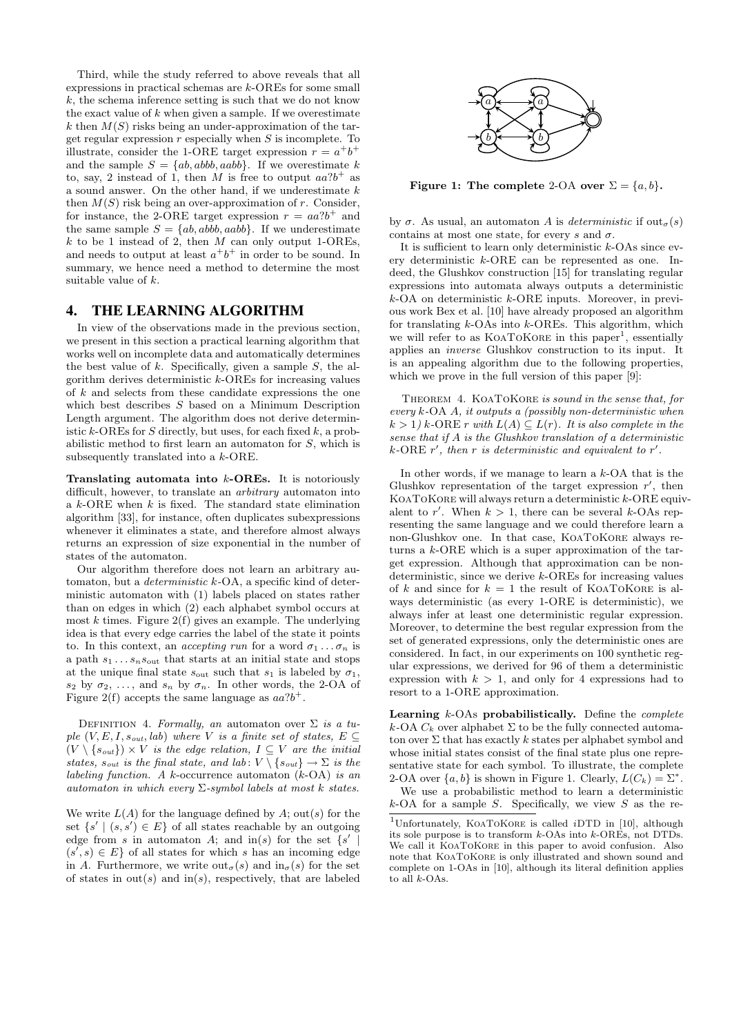Third, while the study referred to above reveals that all expressions in practical schemas are k-OREs for some small  $k$ , the schema inference setting is such that we do not know the exact value of  $k$  when given a sample. If we overestimate k then  $M(S)$  risks being an under-approximation of the target regular expression  $r$  especially when  $S$  is incomplete. To illustrate, consider the 1-ORE target expression  $r = a^+b^+$ and the sample  $S = \{ab, abbb, aabb\}$ . If we overestimate k to, say, 2 instead of 1, then M is free to output  $aa$ ?b<sup>+</sup> as a sound answer. On the other hand, if we underestimate k then  $M(S)$  risk being an over-approximation of r. Consider, for instance, the 2-ORE target expression  $r = aa?b^{+}$  and the same sample  $S = \{ab, abbb, aabb\}$ . If we underestimate k to be 1 instead of 2, then  $M$  can only output 1-OREs, and needs to output at least  $a^+b^+$  in order to be sound. In summary, we hence need a method to determine the most suitable value of  $k$ .

## 4. THE LEARNING ALGORITHM

In view of the observations made in the previous section, we present in this section a practical learning algorithm that works well on incomplete data and automatically determines the best value of  $k$ . Specifically, given a sample  $S$ , the algorithm derives deterministic  $k$ -OREs for increasing values of k and selects from these candidate expressions the one which best describes S based on a Minimum Description Length argument. The algorithm does not derive deterministic k-OREs for S directly, but uses, for each fixed  $k$ , a probabilistic method to first learn an automaton for S, which is subsequently translated into a k-ORE.

**Translating automata into**  $k$ **-OREs.** It is notoriously difficult, however, to translate an *arbitrary* automaton into a  $k$ -ORE when  $k$  is fixed. The standard state elimination algorithm [33], for instance, often duplicates subexpressions whenever it eliminates a state, and therefore almost always returns an expression of size exponential in the number of states of the automaton.

Our algorithm therefore does not learn an arbitrary automaton, but a deterministic k-OA, a specific kind of deterministic automaton with (1) labels placed on states rather than on edges in which (2) each alphabet symbol occurs at most  $k$  times. Figure  $2(f)$  gives an example. The underlying idea is that every edge carries the label of the state it points to. In this context, an *accepting run* for a word  $\sigma_1 \ldots \sigma_n$  is a path  $s_1 \ldots s_n s_{\text{out}}$  that starts at an initial state and stops at the unique final state  $s_{\text{out}}$  such that  $s_1$  is labeled by  $\sigma_1$ ,  $s_2$  by  $\sigma_2, \ldots$ , and  $s_n$  by  $\sigma_n$ . In other words, the 2-OA of Figure 2(f) accepts the same language as  $aa^2b^+$ .

DEFINITION 4. Formally, an automaton over  $\Sigma$  is a tuple  $(V, E, I, s_{out}, lab)$  where V is a finite set of states,  $E \subseteq$  $(V \setminus \{s_{out}\}) \times V$  is the edge relation,  $I \subseteq V$  are the initial states,  $s_{out}$  is the final state, and lab:  $V \setminus \{s_{out}\} \to \Sigma$  is the labeling function. A k-occurrence automaton  $(k-OA)$  is an automaton in which every  $\Sigma$ -symbol labels at most k states.

We write  $L(A)$  for the language defined by A; out(s) for the set  $\{s' \mid (s, s') \in E\}$  of all states reachable by an outgoing edge from s in automaton A; and  $\text{in}(s)$  for the set  $\{s' \mid s'$  $(s', s) \in E$  of all states for which s has an incoming edge in A. Furthermore, we write  $\text{out}_{\sigma}(s)$  and  $\text{in}_{\sigma}(s)$  for the set of states in  $out(s)$  and  $in(s)$ , respectively, that are labeled



Figure 1: The complete 2-OA over  $\Sigma = \{a, b\}.$ 

by  $\sigma$ . As usual, an automaton A is deterministic if out<sub> $\sigma(s)$ </sub> contains at most one state, for every s and  $\sigma$ .

It is sufficient to learn only deterministic  $k$ -OAs since every deterministic k-ORE can be represented as one. Indeed, the Glushkov construction [15] for translating regular expressions into automata always outputs a deterministic  $k$ -OA on deterministic  $k$ -ORE inputs. Moreover, in previous work Bex et al. [10] have already proposed an algorithm for translating  $k$ -OAs into  $k$ -OREs. This algorithm, which we will refer to as KOATOKORE in this paper<sup>1</sup>, essentially applies an inverse Glushkov construction to its input. It is an appealing algorithm due to the following properties, which we prove in the full version of this paper [9]:

THEOREM 4. KOATOKORE is sound in the sense that, for every k-OA A, it outputs a (possibly non-deterministic when  $k > 1$ ) k-ORE r with  $L(A) \subseteq L(r)$ . It is also complete in the sense that if  $A$  is the Glushkov translation of a deterministic k-ORE  $r'$ , then r is deterministic and equivalent to  $r'$ .

In other words, if we manage to learn a  $k$ -OA that is the Glushkov representation of the target expression  $r'$ , then KOATOKORE will always return a deterministic  $k$ -ORE equivalent to r'. When  $k > 1$ , there can be several k-OAs representing the same language and we could therefore learn a non-Glushkov one. In that case, KoaToKore always returns a k-ORE which is a super approximation of the target expression. Although that approximation can be nondeterministic, since we derive k-OREs for increasing values of k and since for  $k = 1$  the result of KOATOKORE is always deterministic (as every 1-ORE is deterministic), we always infer at least one deterministic regular expression. Moreover, to determine the best regular expression from the set of generated expressions, only the deterministic ones are considered. In fact, in our experiments on 100 synthetic regular expressions, we derived for 96 of them a deterministic expression with  $k > 1$ , and only for 4 expressions had to resort to a 1-ORE approximation.

Learning  $k$ -OAs probabilistically. Define the *complete* k-OA  $C_k$  over alphabet  $\Sigma$  to be the fully connected automaton over  $\Sigma$  that has exactly k states per alphabet symbol and whose initial states consist of the final state plus one representative state for each symbol. To illustrate, the complete 2-OA over  $\{a, b\}$  is shown in Figure 1. Clearly,  $L(C_k) = \Sigma^*$ .

We use a probabilistic method to learn a deterministic  $k$ -OA for a sample S. Specifically, we view S as the re-

<sup>&</sup>lt;sup>1</sup>Unfortunately, KOATOKORE is called *iDTD* in [10], although its sole purpose is to transform k-OAs into k-OREs, not DTDs. We call it KOATOKORE in this paper to avoid confusion. Also note that KoaToKore is only illustrated and shown sound and complete on 1-OAs in [10], although its literal definition applies to all  $k$ -OAs.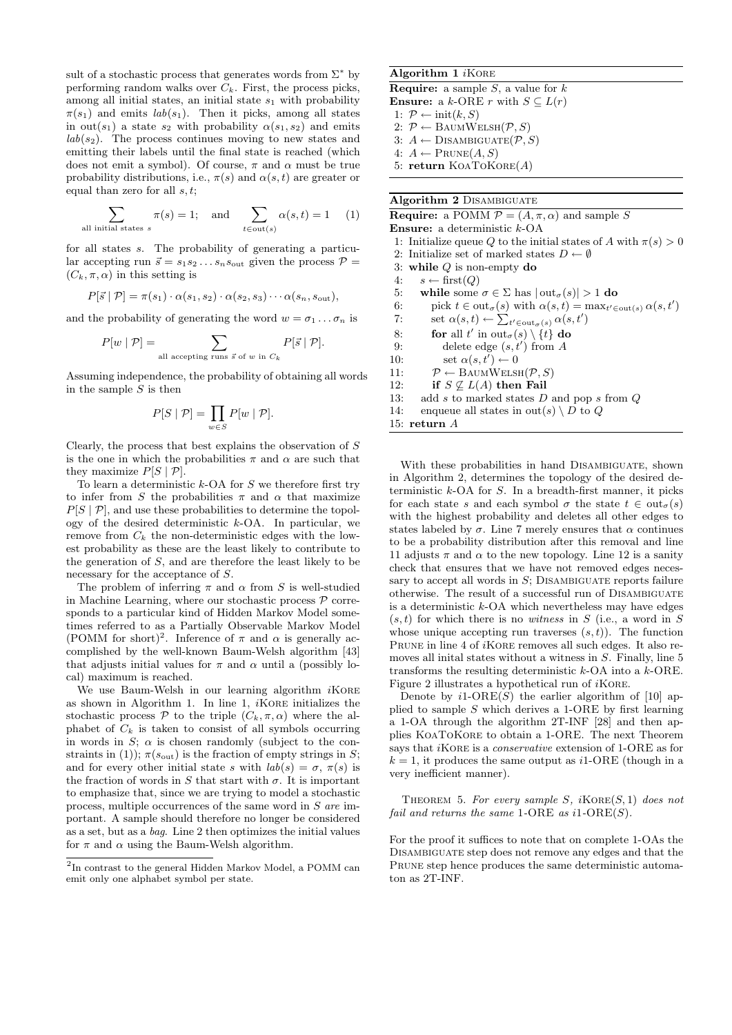sult of a stochastic process that generates words from  $\Sigma^*$  by performing random walks over  $C_k$ . First, the process picks, among all initial states, an initial state  $s_1$  with probability  $\pi(s_1)$  and emits  $lab(s_1)$ . Then it picks, among all states in out(s<sub>1</sub>) a state s<sub>2</sub> with probability  $\alpha(s_1, s_2)$  and emits  $lab(s_2)$ . The process continues moving to new states and emitting their labels until the final state is reached (which does not emit a symbol). Of course,  $\pi$  and  $\alpha$  must be true probability distributions, i.e.,  $\pi(s)$  and  $\alpha(s,t)$  are greater or equal than zero for all  $s, t$ ;

$$
\sum_{\text{all initial states } s} \pi(s) = 1; \quad \text{and} \quad \sum_{t \in \text{out}(s)} \alpha(s, t) = 1 \tag{1}
$$

for all states s. The probability of generating a particular accepting run  $\vec{s} = s_1 s_2 \dots s_n s_{\text{out}}$  given the process  $\mathcal{P} =$  $(C_k, \pi, \alpha)$  in this setting is

$$
P[\vec{s} | P] = \pi(s_1) \cdot \alpha(s_1, s_2) \cdot \alpha(s_2, s_3) \cdots \alpha(s_n, s_{\text{out}}),
$$

and the probability of generating the word  $w = \sigma_1 \dots \sigma_n$  is

$$
P[w | P] = \sum_{\text{all accepting runs } \vec{s} \text{ of } w \text{ in } C_k} P[\vec{s} | P].
$$

Assuming independence, the probability of obtaining all words in the sample  $S$  is then

$$
P[S \mid \mathcal{P}] = \prod_{w \in S} P[w \mid \mathcal{P}].
$$

Clearly, the process that best explains the observation of S is the one in which the probabilities  $\pi$  and  $\alpha$  are such that they maximize  $P[S | P]$ .

To learn a deterministic  $k$ -OA for S we therefore first try to infer from S the probabilities  $\pi$  and  $\alpha$  that maximize  $P[S | P]$ , and use these probabilities to determine the topology of the desired deterministic  $k$ -OA. In particular, we remove from  $C_k$  the non-deterministic edges with the lowest probability as these are the least likely to contribute to the generation of S, and are therefore the least likely to be necessary for the acceptance of S.

The problem of inferring  $\pi$  and  $\alpha$  from S is well-studied in Machine Learning, where our stochastic process  $P$  corresponds to a particular kind of Hidden Markov Model sometimes referred to as a Partially Observable Markov Model (POMM for short)<sup>2</sup>. Inference of  $\pi$  and  $\alpha$  is generally accomplished by the well-known Baum-Welsh algorithm [43] that adjusts initial values for  $\pi$  and  $\alpha$  until a (possibly local) maximum is reached.

We use Baum-Welsh in our learning algorithm  $i$ KORE as shown in Algorithm 1. In line 1,  $i$ KORE initializes the stochastic process  $P$  to the triple  $(C_k, \pi, \alpha)$  where the alphabet of  $C_k$  is taken to consist of all symbols occurring in words in S;  $\alpha$  is chosen randomly (subject to the constraints in (1));  $\pi(s_{\text{out}})$  is the fraction of empty strings in S; and for every other initial state s with  $lab(s) = \sigma$ ,  $\pi(s)$  is the fraction of words in S that start with  $\sigma$ . It is important to emphasize that, since we are trying to model a stochastic process, multiple occurrences of the same word in S are important. A sample should therefore no longer be considered as a set, but as a bag. Line 2 then optimizes the initial values for  $\pi$  and  $\alpha$  using the Baum-Welsh algorithm.

### Algorithm 1 iKORE **Require:** a sample  $S$ , a value for  $k$ **Ensure:** a k-ORE r with  $S \subseteq L(r)$ 1:  $\mathcal{P} \leftarrow \text{init}(k, S)$ 2:  $P \leftarrow$  BAUMWELSH $(P, S)$ 3:  $A \leftarrow \text{DISAMBIGUATE}(\mathcal{P}, S)$ 4:  $A \leftarrow \text{PRUNE}(A, S)$ 5: return  $K$ OATO $K$ ORE $(A)$

#### Algorithm 2 Disambiguate

**Require:** a POMM  $P = (A, \pi, \alpha)$  and sample S Ensure: a deterministic k-OA 1: Initialize queue Q to the initial states of A with  $\pi(s) > 0$ 2: Initialize set of marked states  $D \leftarrow \emptyset$ 3: while  $Q$  is non-empty do 4:  $s \leftarrow \text{first}(Q)$ 5: while some  $\sigma \in \Sigma$  has  $|\text{out}_{\sigma}(s)| > 1$  do 6: pick  $t \in \text{out}_{\sigma}(s)$  with  $\alpha(s,t) = \max_{t' \in \text{out}(s)} \alpha(s,t')$ 7: set  $\alpha(s,t) \leftarrow \sum_{t' \in \text{out}_{\sigma}(s)} \alpha(s,t')$ 8: for all t' in  $\text{out}_{\sigma}(s) \setminus \{t\}$  do 9: delete edge  $(s, t')$  from A 10: set  $\alpha(s, t') \leftarrow 0$ 11:  $\mathcal{P} \leftarrow \text{BAUMWELSH}(\mathcal{P}, S)$ 12: if  $S \not\subset L(A)$  then Fail 13: add s to marked states  $D$  and pop s from  $Q$ 14: enqueue all states in out(s)  $\setminus D$  to Q 15: return A

With these probabilities in hand Disambiguate, shown in Algorithm 2, determines the topology of the desired deterministic  $k$ -OA for  $S$ . In a breadth-first manner, it picks for each state s and each symbol  $\sigma$  the state  $t \in out_{\sigma}(s)$ with the highest probability and deletes all other edges to states labeled by  $\sigma$ . Line 7 merely ensures that  $\alpha$  continues to be a probability distribution after this removal and line 11 adjusts  $\pi$  and  $\alpha$  to the new topology. Line 12 is a sanity check that ensures that we have not removed edges necessary to accept all words in  $S$ ; DISAMBIGUATE reports failure otherwise. The result of a successful run of Disambiguate is a deterministic  $k$ -OA which nevertheless may have edges  $(s, t)$  for which there is no witness in S (i.e., a word in S whose unique accepting run traverses  $(s, t)$ ). The function PRUNE in line 4 of *i*KORE removes all such edges. It also removes all inital states without a witness in S. Finally, line 5 transforms the resulting deterministic  $k$ -OA into a  $k$ -ORE. Figure 2 illustrates a hypothetical run of  $i$ KORE.

Denote by  $i1\text{-}ORE(S)$  the earlier algorithm of [10] applied to sample  $S$  which derives a 1-ORE by first learning a 1-OA through the algorithm 2T-INF [28] and then applies KoaToKore to obtain a 1-ORE. The next Theorem says that *i*KORE is a *conservative* extension of 1-ORE as for  $k = 1$ , it produces the same output as *i*1-ORE (though in a very inefficient manner).

THEOREM 5. For every sample  $S$ ,  $iKORE(S, 1)$  does not fail and returns the same 1-ORE as  $i1\text{-}ORE(S)$ .

For the proof it suffices to note that on complete 1-OAs the Disambiguate step does not remove any edges and that the PRUNE step hence produces the same deterministic automaton as 2T-INF.

<sup>&</sup>lt;sup>2</sup>In contrast to the general Hidden Markov Model, a POMM can emit only one alphabet symbol per state.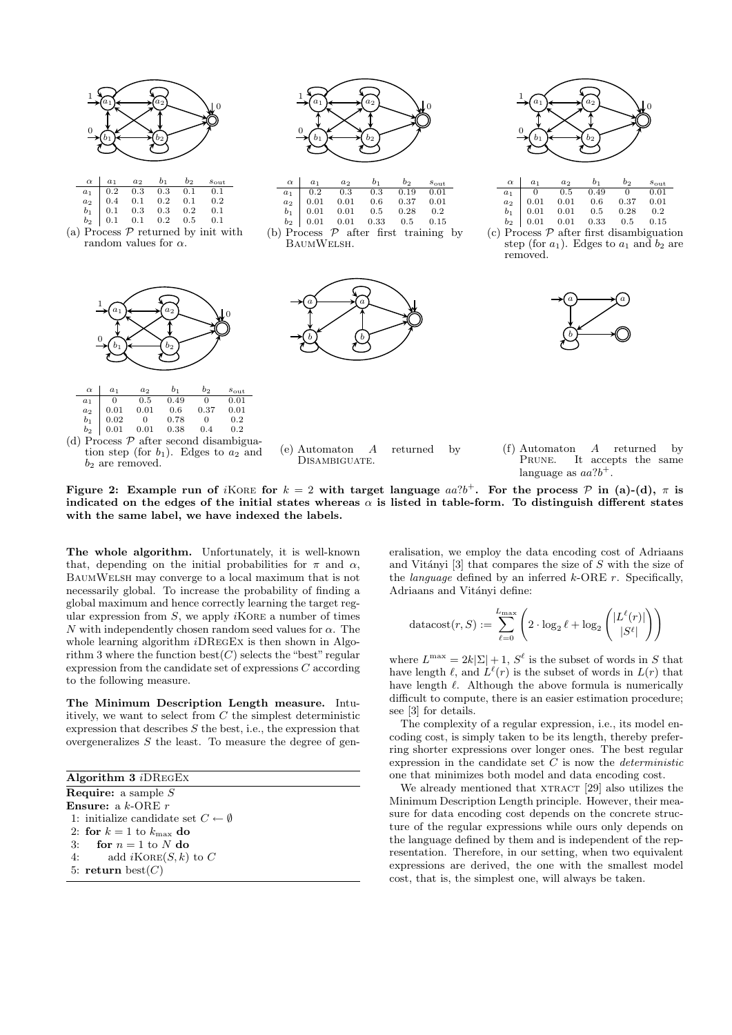



(a) Process  $P$  returned by init with random values for  $\alpha$ .





tion step (for  $b_1$ ). Edges to  $a_2$  and  $b_2$  are removed.



| $\alpha \begin{array}{ccc} a_1 & a_2 \end{array}$ | $b_1$                                                                                                                                                                  | $b_2$ $s_{\text{out}}$ |      |
|---------------------------------------------------|------------------------------------------------------------------------------------------------------------------------------------------------------------------------|------------------------|------|
|                                                   |                                                                                                                                                                        |                        | 0.01 |
|                                                   |                                                                                                                                                                        |                        | 0.01 |
|                                                   |                                                                                                                                                                        |                        | 0.2  |
|                                                   | $\begin{array}{c cccc} a_1 & 0.2 & 0.3 & 0.3 & 0.19 \\ a_2 & 0.01 & 0.01 & 0.6 & 0.37 \\ b_1 & 0.01 & 0.01 & 0.5 & 0.28 \\ b_2 & 0.01 & 0.01 & 0.33 & 0.5 \end{array}$ |                        | 0.15 |

<sup>(</sup>b) Process  $P$  after first training by BaumWelsh.



(e) Automaton A returned by DISAMBIGUATE.



| $\alpha \mid a_1$ | $a_2$                                                                                                                                      | $b_1$ | $b_{2}$  | $s_{\text{out}}$ |
|-------------------|--------------------------------------------------------------------------------------------------------------------------------------------|-------|----------|------------------|
|                   |                                                                                                                                            |       | $\sim 0$ | 0.01             |
|                   |                                                                                                                                            |       | 0.37     | 0.01             |
|                   |                                                                                                                                            |       | 0.28     | 0.2              |
|                   | $\begin{array}{c cccc} a_1 & 0 & 0.5 & 0.49 \\ a_2 & 0.01 & 0.01 & 0.6 \\ b_1 & 0.01 & 0.01 & 0.5 \\ b_2 & 0.01 & 0.01 & 0.33 \end{array}$ |       | $0.5\,$  | 0.15             |

(c) Process  $P$  after first disambiguation step (for  $a_1$ ). Edges to  $a_1$  and  $b_2$  are removed.



(f) Automaton A returned by PRUNE. It accepts the same language as  $aa?b^+$ .

Figure 2: Example run of *i*KORE for  $k = 2$  with target language  $aa$ ?*b*<sup>+</sup>. For the process  $P$  in (a)-(d),  $\pi$  is indicated on the edges of the initial states whereas  $\alpha$  is listed in table-form. To distinguish different states with the same label, we have indexed the labels.

The whole algorithm. Unfortunately, it is well-known that, depending on the initial probabilities for  $\pi$  and  $\alpha$ , BaumWelsh may converge to a local maximum that is not necessarily global. To increase the probability of finding a global maximum and hence correctly learning the target regular expression from  $S$ , we apply  $i$ KORE a number of times N with independently chosen random seed values for  $\alpha$ . The whole learning algorithm *i*DREGEX is then shown in Algorithm 3 where the function  $\text{best}(C)$  selects the "best" regular expression from the candidate set of expressions C according to the following measure.

The Minimum Description Length measure. Intuitively, we want to select from  $C$  the simplest deterministic expression that describes  $S$  the best, i.e., the expression that overgeneralizes  $S$  the least. To measure the degree of gen-

Algorithm 3 iDRegEx **Require:** a sample  $S$ Ensure: a k-ORE r 1: initialize candidate set  $C \leftarrow \emptyset$ 2: for  $k = 1$  to  $k_{\text{max}}$  do 3: for  $n = 1$  to N do 4: add  $i$ KORE $(S, k)$  to C 5: return  $\text{best}(C)$ 

eralisation, we employ the data encoding cost of Adriaans and Vitányi  $[3]$  that compares the size of S with the size of the *language* defined by an inferred  $k$ -ORE  $r$ . Specifically, Adriaans and Vitányi define:

$$
\text{datacost}(r, S) := \sum_{\ell=0}^{L_{\text{max}}} \left( 2 \cdot \log_2 \ell + \log_2 \left( \frac{|L^{\ell}(r)|}{|S^{\ell}|} \right) \right)
$$

where  $L^{\max} = 2k|\Sigma| + 1$ ,  $S^{\ell}$  is the subset of words in S that have length  $\ell$ , and  $L^{\ell}(r)$  is the subset of words in  $L(r)$  that have length  $\ell$ . Although the above formula is numerically difficult to compute, there is an easier estimation procedure; see [3] for details.

The complexity of a regular expression, i.e., its model encoding cost, is simply taken to be its length, thereby preferring shorter expressions over longer ones. The best regular expression in the candidate set  $\overline{C}$  is now the *deterministic* one that minimizes both model and data encoding cost.

We already mentioned that XTRACT [29] also utilizes the Minimum Description Length principle. However, their measure for data encoding cost depends on the concrete structure of the regular expressions while ours only depends on the language defined by them and is independent of the representation. Therefore, in our setting, when two equivalent expressions are derived, the one with the smallest model cost, that is, the simplest one, will always be taken.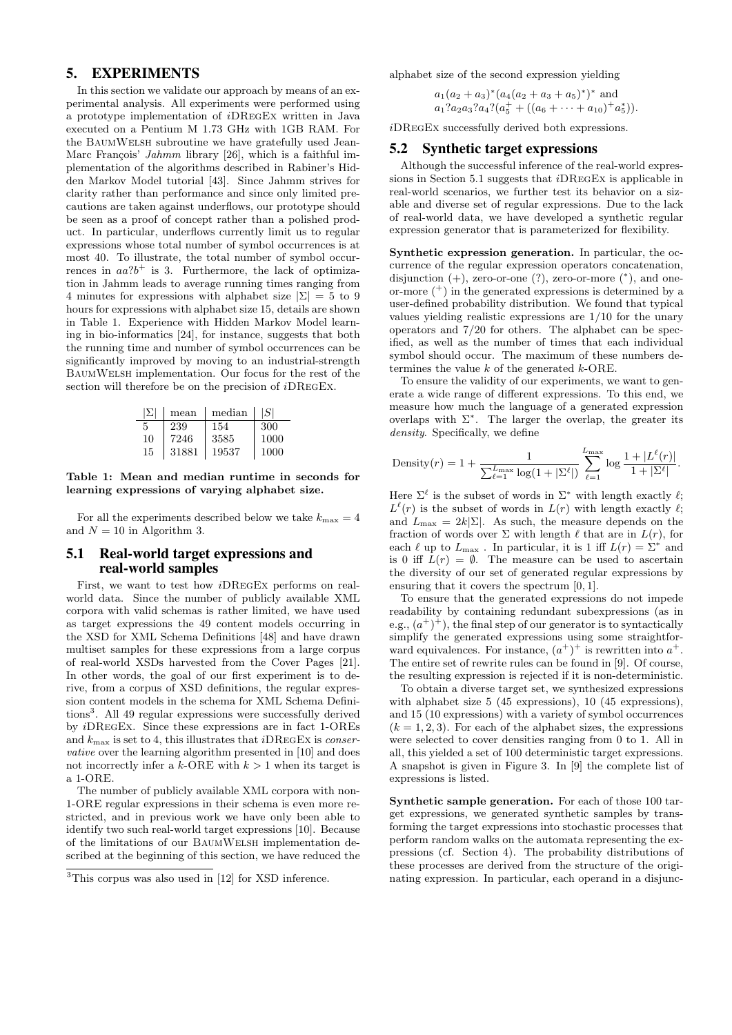# 5. EXPERIMENTS

In this section we validate our approach by means of an experimental analysis. All experiments were performed using a prototype implementation of iDRegEx written in Java executed on a Pentium M 1.73 GHz with 1GB RAM. For the BaumWelsh subroutine we have gratefully used Jean-Marc François' Jahmm library  $[26]$ , which is a faithful implementation of the algorithms described in Rabiner's Hidden Markov Model tutorial [43]. Since Jahmm strives for clarity rather than performance and since only limited precautions are taken against underflows, our prototype should be seen as a proof of concept rather than a polished product. In particular, underflows currently limit us to regular expressions whose total number of symbol occurrences is at most 40. To illustrate, the total number of symbol occurrences in  $aa$ ? $b$ <sup>+</sup> is 3. Furthermore, the lack of optimization in Jahmm leads to average running times ranging from 4 minutes for expressions with alphabet size  $|\Sigma| = 5$  to 9 hours for expressions with alphabet size 15, details are shown in Table 1. Experience with Hidden Markov Model learning in bio-informatics [24], for instance, suggests that both the running time and number of symbol occurrences can be significantly improved by moving to an industrial-strength BaumWelsh implementation. Our focus for the rest of the section will therefore be on the precision of *i*DREGEX.

| IЫ | mean  | median | I SI |
|----|-------|--------|------|
| 5  | 239   | 154    | 300  |
| 10 | 7246  | 3585   | 1000 |
| 15 | 31881 | 19537  | 1000 |

Table 1: Mean and median runtime in seconds for learning expressions of varying alphabet size.

For all the experiments described below we take  $k_{\text{max}} = 4$ and  $N = 10$  in Algorithm 3.

## 5.1 Real-world target expressions and real-world samples

First, we want to test how iDRegEx performs on realworld data. Since the number of publicly available XML corpora with valid schemas is rather limited, we have used as target expressions the 49 content models occurring in the XSD for XML Schema Definitions [48] and have drawn multiset samples for these expressions from a large corpus of real-world XSDs harvested from the Cover Pages [21]. In other words, the goal of our first experiment is to derive, from a corpus of XSD definitions, the regular expression content models in the schema for XML Schema Definitions<sup>3</sup>. All 49 regular expressions were successfully derived by iDRegEx. Since these expressions are in fact 1-OREs and  $k_{\text{max}}$  is set to 4, this illustrates that *i*DREGEX is *conser*vative over the learning algorithm presented in [10] and does not incorrectly infer a k-ORE with  $k > 1$  when its target is a 1-ORE.

The number of publicly available XML corpora with non-1-ORE regular expressions in their schema is even more restricted, and in previous work we have only been able to identify two such real-world target expressions [10]. Because of the limitations of our BaumWelsh implementation described at the beginning of this section, we have reduced the

alphabet size of the second expression yielding

 $a_1(a_2 + a_3)^*(a_4(a_2 + a_3 + a_5)^*)^*$  and  $a_1?a_2a_3?a_4?$  $(a_5^+ + ((a_6 + \cdots + a_{10})^+ a_5^*)).$ 

iDRegEx successfully derived both expressions.

#### 5.2 Synthetic target expressions

Although the successful inference of the real-world expressions in Section 5.1 suggests that iDRegEx is applicable in real-world scenarios, we further test its behavior on a sizable and diverse set of regular expressions. Due to the lack of real-world data, we have developed a synthetic regular expression generator that is parameterized for flexibility.

Synthetic expression generation. In particular, the occurrence of the regular expression operators concatenation, disjunction  $(+)$ , zero-or-one  $(?)$ , zero-or-more  $(*),$  and oneor-more  $(+)$  in the generated expressions is determined by a user-defined probability distribution. We found that typical values yielding realistic expressions are 1/10 for the unary operators and 7/20 for others. The alphabet can be specified, as well as the number of times that each individual symbol should occur. The maximum of these numbers determines the value  $k$  of the generated  $k$ -ORE.

To ensure the validity of our experiments, we want to generate a wide range of different expressions. To this end, we measure how much the language of a generated expression overlaps with  $\Sigma^*$ . The larger the overlap, the greater its density. Specifically, we define

Density(r) = 1 + 
$$
\frac{1}{\sum_{\ell=1}^{L_{\text{max}}} \log(1+|\Sigma^{\ell}|)} \sum_{\ell=1}^{L_{\text{max}}} \log \frac{1+|L^{\ell}(r)|}{1+|\Sigma^{\ell}|}.
$$

Here  $\Sigma^{\ell}$  is the subset of words in  $\Sigma^*$  with length exactly  $\ell$ ;  $L^{\ell}(r)$  is the subset of words in  $L(r)$  with length exactly  $\ell$ ; and  $L_{\text{max}} = 2k|\Sigma|$ . As such, the measure depends on the fraction of words over  $\Sigma$  with length  $\ell$  that are in  $L(r)$ , for each  $\ell$  up to  $L_{\text{max}}$ . In particular, it is 1 iff  $L(r) = \Sigma^*$  and is 0 iff  $L(r) = \emptyset$ . The measure can be used to ascertain the diversity of our set of generated regular expressions by ensuring that it covers the spectrum [0, 1].

To ensure that the generated expressions do not impede readability by containing redundant subexpressions (as in e.g.,  $(a^{+})^{+}$ , the final step of our generator is to syntactically simplify the generated expressions using some straightforward equivalences. For instance,  $(a^+)^+$  is rewritten into  $a^+$ . The entire set of rewrite rules can be found in [9]. Of course, the resulting expression is rejected if it is non-deterministic.

To obtain a diverse target set, we synthesized expressions with alphabet size 5 (45 expressions), 10 (45 expressions), and 15 (10 expressions) with a variety of symbol occurrences  $(k = 1, 2, 3)$ . For each of the alphabet sizes, the expressions were selected to cover densities ranging from 0 to 1. All in all, this yielded a set of 100 deterministic target expressions. A snapshot is given in Figure 3. In [9] the complete list of expressions is listed.

Synthetic sample generation. For each of those 100 target expressions, we generated synthetic samples by transforming the target expressions into stochastic processes that perform random walks on the automata representing the expressions (cf. Section 4). The probability distributions of these processes are derived from the structure of the originating expression. In particular, each operand in a disjunc-

<sup>3</sup>This corpus was also used in [12] for XSD inference.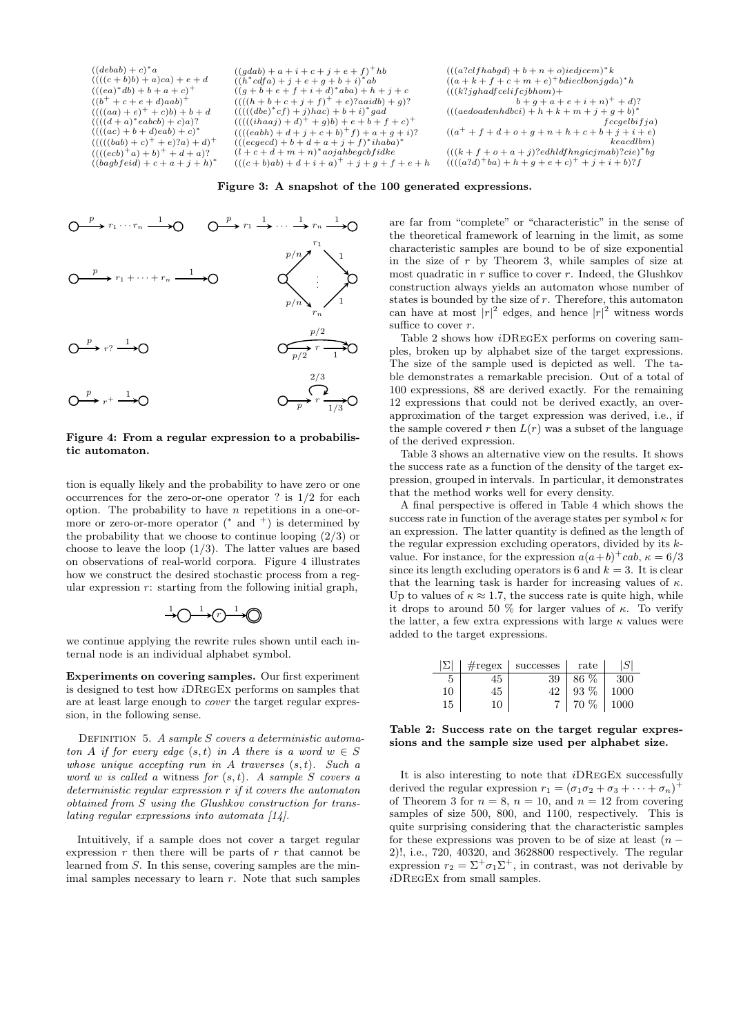$((debab) + c)^*a$  $((((c + b)b) + a)ca) + e + d$  $(((ea)^*db) + b + a + c)^+$  $((b^+ + c + e + d)aab)^+$  $((((aa + e)^+ + c)b) + b + d$ <br> $((((d + a)^*eabcb) + c)a)?$  $((((ac) + b + d)ea b) + c)^*$  $(((((bab) + c)^+ + e)?a) + d)^+$  $((((ecb)^+a)+b)^+ + d + a)?$  $((bagbf eid) + c + a + j + h)^*$   $((gdab) + a + i + c + j + e + f)^+$ hb  $((h * cdfa) + j + e + g + b + i) * ab$ <br>  $((g + b + e + f + i + d) * aba) + h + j + c$  $((((h+b+c+j+f)^+ + e)?aaidb) + g)?$  $(((((dbe)^*cf)+j)hac)+b+i)^*gad$  $(((((ihaaj) + d)^+ + g)b) + e + b + f + c)^+$  $((((eabb) + d + j + c + b)^+ f) + a + g + i)?$ <br> $(((eaged) + b + d + a + j + f)^*ihaba)^*$  $(l + c + d + m + n)^*$ aojahbegcbfidke  $(((c + b)ab) + d + i + a)^{+} + j + g + f + e + h$ 

 $(((a?clfhabgd) + b + n + o)iedicem)*k$  $((a + k + f + c + m + e)^+ b dieclbonjgda)^*h$  $((k?jghadfcelif cjbhom)+$  $b + g + a + e + i + n)^{+} + d$ ?<br>(((aedoadenhdbci) + h + k + m + j + g + b)\*  $fccgelbifja)$  $((a^+ + f + d + o + g + n + h + c + b + j + i + e)$  $keacdlbm)$  $(((k + f + o + a + j) ?edhldfhngicjma b)?cie)*bg$  $((((a?d)^+ba) + h + g + e + c)^+ + j + i + b)?$ 

Figure 3: A snapshot of the 100 generated expressions.



#### Figure 4: From a regular expression to a probabilistic automaton.

tion is equally likely and the probability to have zero or one occurrences for the zero-or-one operator ? is 1/2 for each option. The probability to have  $n$  repetitions in a one-ormore or zero-or-more operator  $(*$  and  $^+)$  is determined by the probability that we choose to continue looping  $(2/3)$  or choose to leave the loop  $(1/3)$ . The latter values are based on observations of real-world corpora. Figure 4 illustrates how we construct the desired stochastic process from a regular expression  $r$ : starting from the following initial graph,

$$
\xrightarrow{1} \bigcirc \xrightarrow{1} \bigcirc \xrightarrow{1} \bigcirc
$$

we continue applying the rewrite rules shown until each internal node is an individual alphabet symbol.

Experiments on covering samples. Our first experiment is designed to test how iDRegEx performs on samples that are at least large enough to cover the target regular expression, in the following sense.

DEFINITION 5. A sample S covers a deterministic automaton A if for every edge  $(s,t)$  in A there is a word  $w \in S$ whose unique accepting run in  $A$  traverses  $(s, t)$ . Such a word w is called a witness for  $(s, t)$ . A sample S covers a deterministic regular expression r if it covers the automaton obtained from S using the Glushkov construction for translating regular expressions into automata [14].

Intuitively, if a sample does not cover a target regular expression  $r$  then there will be parts of  $r$  that cannot be learned from S. In this sense, covering samples are the minimal samples necessary to learn  $r$ . Note that such samples

are far from "complete" or "characteristic" in the sense of the theoretical framework of learning in the limit, as some characteristic samples are bound to be of size exponential in the size of  $r$  by Theorem 3, while samples of size at most quadratic in  $r$  suffice to cover  $r$ . Indeed, the Glushkov construction always yields an automaton whose number of states is bounded by the size of r. Therefore, this automaton can have at most  $|r|^2$  edges, and hence  $|r|^2$  witness words suffice to cover  $r$ .

Table 2 shows how iDRegEx performs on covering samples, broken up by alphabet size of the target expressions. The size of the sample used is depicted as well. The table demonstrates a remarkable precision. Out of a total of 100 expressions, 88 are derived exactly. For the remaining 12 expressions that could not be derived exactly, an overapproximation of the target expression was derived, i.e., if the sample covered r then  $L(r)$  was a subset of the language of the derived expression.

Table 3 shows an alternative view on the results. It shows the success rate as a function of the density of the target expression, grouped in intervals. In particular, it demonstrates that the method works well for every density.

A final perspective is offered in Table 4 which shows the success rate in function of the average states per symbol  $\kappa$  for an expression. The latter quantity is defined as the length of the regular expression excluding operators, divided by its  $k$ value. For instance, for the expression  $a(a+b)^{\dagger}cab$ ,  $\kappa = 6/3$ since its length excluding operators is 6 and  $k = 3$ . It is clear that the learning task is harder for increasing values of  $\kappa$ . Up to values of  $\kappa \approx 1.7$ , the success rate is quite high, while it drops to around 50 % for larger values of  $\kappa$ . To verify the latter, a few extra expressions with large  $\kappa$  values were added to the target expressions.

|    |    | $\# \text{regex}$   successes | rate   | S    |
|----|----|-------------------------------|--------|------|
|    | 45 | 39                            | 86 %   | 300  |
| 10 | 45 | 42                            | $93\%$ | 1000 |
| 15 | 10 |                               | 70 %   | 1000 |

Table 2: Success rate on the target regular expressions and the sample size used per alphabet size.

It is also interesting to note that iDRegEx successfully derived the regular expression  $r_1 = (\sigma_1 \sigma_2 + \sigma_3 + \cdots + \sigma_n)^+$ of Theorem 3 for  $n = 8$ ,  $n = 10$ , and  $n = 12$  from covering samples of size 500, 800, and 1100, respectively. This is quite surprising considering that the characteristic samples for these expressions was proven to be of size at least  $(n -$ 2)!, i.e., 720, 40320, and 3628800 respectively. The regular expression  $r_2 = \Sigma^+ \sigma_1 \Sigma^+$ , in contrast, was not derivable by iDRegEx from small samples.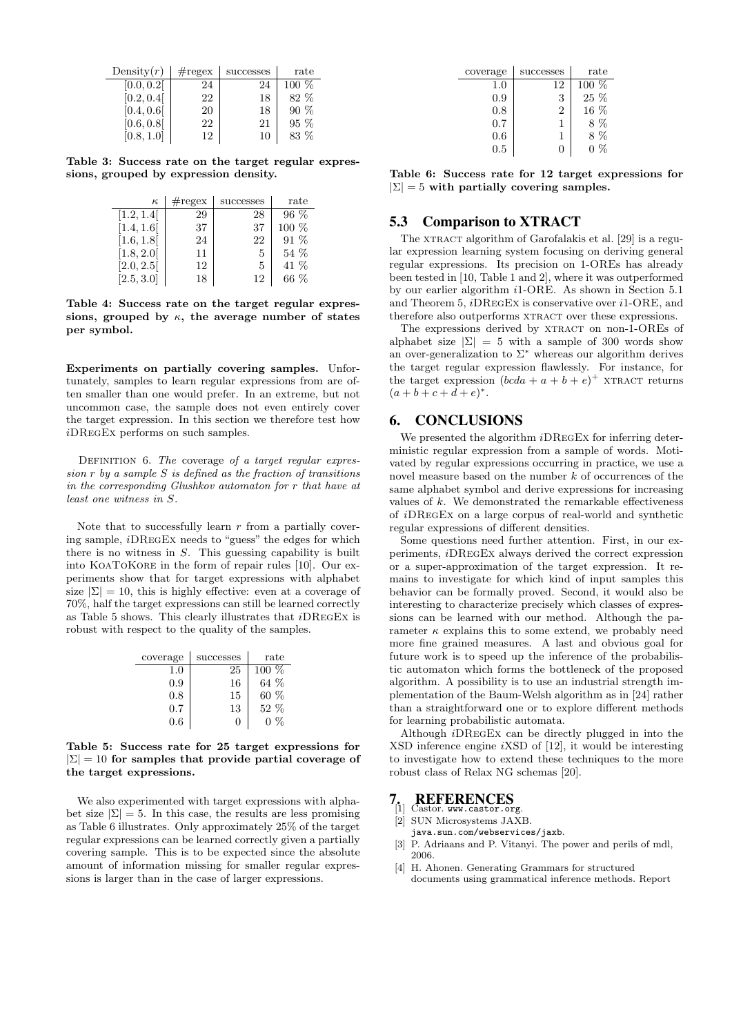| Density $(r)$ | $\#\text{regex}$ | successes | rate    |
|---------------|------------------|-----------|---------|
| [0.0, 0.2]    | 24               | 24        | $100\%$ |
| [0.2, 0.4]    | 22               | 18        | 82 %    |
| [0.4, 0.6]    | 20               | 18        | $90\%$  |
| [0.6, 0.8]    | 22               | 21        | $95\%$  |
|               | 12               | 16        | 83 %    |

Table 3: Success rate on the target regular expressions, grouped by expression density.

| $\kappa$   | $\#\text{regex}$ | successes | rate    |
|------------|------------------|-----------|---------|
| [1.2, 1.4] | 29               | 28        | $96\%$  |
| [1.4, 1.6] | 37               | 37        | $100\%$ |
| [1.6, 1.8] | 24               | 22        | $91\%$  |
| [1.8, 2.0] | 11               | 5         | $54\%$  |
| [2.0, 2.5] | 12               | 5         | 41 %    |
| [2.5, 3.0] | 18               | 12        | 66 %    |

Table 4: Success rate on the target regular expressions, grouped by  $\kappa$ , the average number of states per symbol.

Experiments on partially covering samples. Unfortunately, samples to learn regular expressions from are often smaller than one would prefer. In an extreme, but not uncommon case, the sample does not even entirely cover the target expression. In this section we therefore test how iDRegEx performs on such samples.

DEFINITION 6. The coverage of a target regular expression  $r$  by a sample  $S$  is defined as the fraction of transitions in the corresponding Glushkov automaton for r that have at least one witness in S.

Note that to successfully learn  $r$  from a partially covering sample, iDRegEx needs to "guess" the edges for which there is no witness in  $S$ . This guessing capability is built into KoaToKore in the form of repair rules [10]. Our experiments show that for target expressions with alphabet size  $|\Sigma| = 10$ , this is highly effective: even at a coverage of 70%, half the target expressions can still be learned correctly as Table 5 shows. This clearly illustrates that iDRegEx is robust with respect to the quality of the samples.

| coverage | successes    | rate    |
|----------|--------------|---------|
| 1.0      | 25           | $100\%$ |
| 0.9      | 16           | 64%     |
| 0.8      | 15           | $60\%$  |
| $0.7\,$  | 13           | $52\%$  |
| 0.6      | $\mathbf{0}$ | 0 %     |

#### Table 5: Success rate for 25 target expressions for  $|\Sigma| = 10$  for samples that provide partial coverage of the target expressions.

We also experimented with target expressions with alphabet size  $|\Sigma| = 5$ . In this case, the results are less promising as Table 6 illustrates. Only approximately 25% of the target regular expressions can be learned correctly given a partially covering sample. This is to be expected since the absolute amount of information missing for smaller regular expressions is larger than in the case of larger expressions.

| coverage | successes | rate    |
|----------|-----------|---------|
| $1.0\,$  | 12        | $100\%$ |
| 0.9      | 3         | 25 %    |
| 0.8      | 2         | $16\%$  |
| 0.7      |           | 8 %     |
| 0.6      |           | 8 %     |
| 0.5      |           |         |

Table 6: Success rate for 12 target expressions for  $|\Sigma| = 5$  with partially covering samples.

## 5.3 Comparison to XTRACT

The XTRACT algorithm of Garofalakis et al. [29] is a regular expression learning system focusing on deriving general regular expressions. Its precision on 1-OREs has already been tested in [10, Table 1 and 2], where it was outperformed by our earlier algorithm i1-ORE. As shown in Section 5.1 and Theorem 5, iDRegEx is conservative over i1-ORE, and therefore also outperforms XTRACT over these expressions.

The expressions derived by XTRACT on non-1-OREs of alphabet size  $|\Sigma| = 5$  with a sample of 300 words show an over-generalization to  $\Sigma^*$  whereas our algorithm derives the target regular expression flawlessly. For instance, for the target expression  $(bcda + a + b + e)^+$  xTRACT returns  $(a + b + c + d + e)^*$ .

# 6. CONCLUSIONS

We presented the algorithm  $i\text{DREGEx}$  for inferring deterministic regular expression from a sample of words. Motivated by regular expressions occurring in practice, we use a novel measure based on the number  $k$  of occurrences of the same alphabet symbol and derive expressions for increasing values of  $k$ . We demonstrated the remarkable effectiveness of iDRegEx on a large corpus of real-world and synthetic regular expressions of different densities.

Some questions need further attention. First, in our experiments, iDRegEx always derived the correct expression or a super-approximation of the target expression. It remains to investigate for which kind of input samples this behavior can be formally proved. Second, it would also be interesting to characterize precisely which classes of expressions can be learned with our method. Although the parameter  $\kappa$  explains this to some extend, we probably need more fine grained measures. A last and obvious goal for future work is to speed up the inference of the probabilistic automaton which forms the bottleneck of the proposed algorithm. A possibility is to use an industrial strength implementation of the Baum-Welsh algorithm as in [24] rather than a straightforward one or to explore different methods for learning probabilistic automata.

Although iDRegEx can be directly plugged in into the XSD inference engine iXSD of [12], it would be interesting to investigate how to extend these techniques to the more robust class of Relax NG schemas [20].

# 7. REFERENCES [1] Castor. www.castor.org.

- 
- [2] SUN Microsystems JAXB. java.sun.com/webservices/jaxb.
- 
- [3] P. Adriaans and P. Vitanyi. The power and perils of mdl, 2006.
- [4] H. Ahonen. Generating Grammars for structured documents using grammatical inference methods. Report